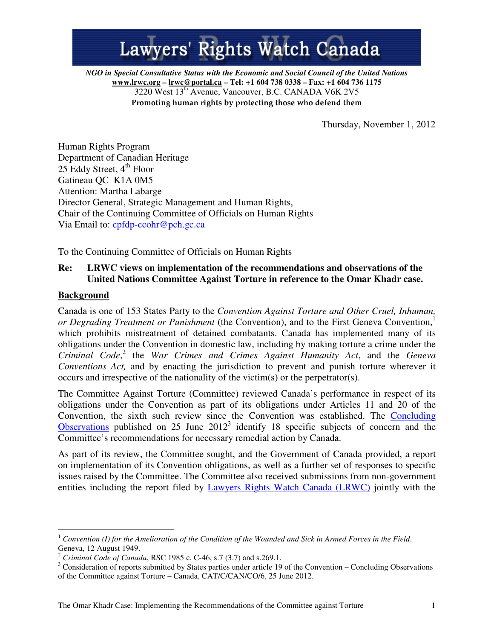# Lawyers' Rights Watch Canada

*NGO in Special Consultative Status with the Economic and Social Council of the United Nations*  **www.lrwc.org – lrwc@portal.ca – Tel: +1 604 738 0338 – Fax: +1 604 736 1175**  3220 West 13th Avenue, Vancouver, B.C. CANADA V6K 2V5 Promoting human rights by protecting those who defend them

Thursday, November 1, 2012

Human Rights Program Department of Canadian Heritage 25 Eddy Street,  $4<sup>th</sup>$  Floor Gatineau QC K1A 0M5 Attention: Martha Labarge Director General, Strategic Management and Human Rights, Chair of the Continuing Committee of Officials on Human Rights Via Email to: cpfdp-ccohr@pch.gc.ca

To the Continuing Committee of Officials on Human Rights

# **Re: LRWC views on implementation of the recommendations and observations of the United Nations Committee Against Torture in reference to the Omar Khadr case.**

#### **Background**

 $\overline{a}$ 

Canada is one of 153 States Party to the *Convention Against Torture and Other Cruel, Inhuman, or Degrading Treatment or Punishment* (the Convention), and to the First Geneva Convention, 1 which prohibits mistreatment of detained combatants. Canada has implemented many of its obligations under the Convention in domestic law, including by making torture a crime under the *Criminal Code*, 2 the *War Crimes and Crimes Against Humanity Act*, and the *Geneva Conventions Act,* and by enacting the jurisdiction to prevent and punish torture wherever it occurs and irrespective of the nationality of the victim(s) or the perpetrator(s).

The Committee Against Torture (Committee) reviewed Canada's performance in respect of its obligations under the Convention as part of its obligations under Articles 11 and 20 of the Convention, the sixth such review since the Convention was established. The Concluding Observations published on 25 June  $2012<sup>3</sup>$  identify 18 specific subjects of concern and the Committee's recommendations for necessary remedial action by Canada.

As part of its review, the Committee sought, and the Government of Canada provided, a report on implementation of its Convention obligations, as well as a further set of responses to specific issues raised by the Committee. The Committee also received submissions from non-government entities including the report filed by Lawyers Rights Watch Canada (LRWC) jointly with the

<sup>1</sup> *Convention (I) for the Amelioration of the Condition of the Wounded and Sick in Armed Forces in the Field*. Geneva, 12 August 1949.

<sup>2</sup> *Criminal Code of Canada*, RSC 1985 c. C-46, s.7 (3.7) and s.269.1.

 $3$  Consideration of reports submitted by States parties under article 19 of the Convention – Concluding Observations of the Committee against Torture – Canada, CAT/C/CAN/CO/6, 25 June 2012.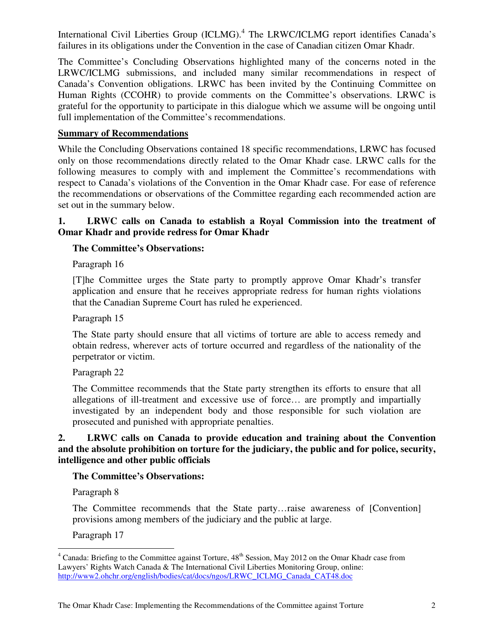International Civil Liberties Group (ICLMG).<sup>4</sup> The LRWC/ICLMG report identifies Canada's failures in its obligations under the Convention in the case of Canadian citizen Omar Khadr.

The Committee's Concluding Observations highlighted many of the concerns noted in the LRWC/ICLMG submissions, and included many similar recommendations in respect of Canada's Convention obligations. LRWC has been invited by the Continuing Committee on Human Rights (CCOHR) to provide comments on the Committee's observations. LRWC is grateful for the opportunity to participate in this dialogue which we assume will be ongoing until full implementation of the Committee's recommendations.

#### **Summary of Recommendations**

While the Concluding Observations contained 18 specific recommendations, LRWC has focused only on those recommendations directly related to the Omar Khadr case. LRWC calls for the following measures to comply with and implement the Committee's recommendations with respect to Canada's violations of the Convention in the Omar Khadr case. For ease of reference the recommendations or observations of the Committee regarding each recommended action are set out in the summary below.

#### **1. LRWC calls on Canada to establish a Royal Commission into the treatment of Omar Khadr and provide redress for Omar Khadr**

#### **The Committee's Observations:**

Paragraph 16

[T]he Committee urges the State party to promptly approve Omar Khadr's transfer application and ensure that he receives appropriate redress for human rights violations that the Canadian Supreme Court has ruled he experienced.

Paragraph 15

The State party should ensure that all victims of torture are able to access remedy and obtain redress, wherever acts of torture occurred and regardless of the nationality of the perpetrator or victim.

Paragraph 22

The Committee recommends that the State party strengthen its efforts to ensure that all allegations of ill-treatment and excessive use of force… are promptly and impartially investigated by an independent body and those responsible for such violation are prosecuted and punished with appropriate penalties.

#### **2. LRWC calls on Canada to provide education and training about the Convention and the absolute prohibition on torture for the judiciary, the public and for police, security, intelligence and other public officials**

## **The Committee's Observations:**

Paragraph 8

The Committee recommends that the State party…raise awareness of [Convention] provisions among members of the judiciary and the public at large.

Paragraph 17

<sup>&</sup>lt;sup>4</sup> Canada: Briefing to the Committee against Torture, 48<sup>th</sup> Session, May 2012 on the Omar Khadr case from Lawyers' Rights Watch Canada & The International Civil Liberties Monitoring Group, online: http://www2.ohchr.org/english/bodies/cat/docs/ngos/LRWC\_ICLMG\_Canada\_CAT48.doc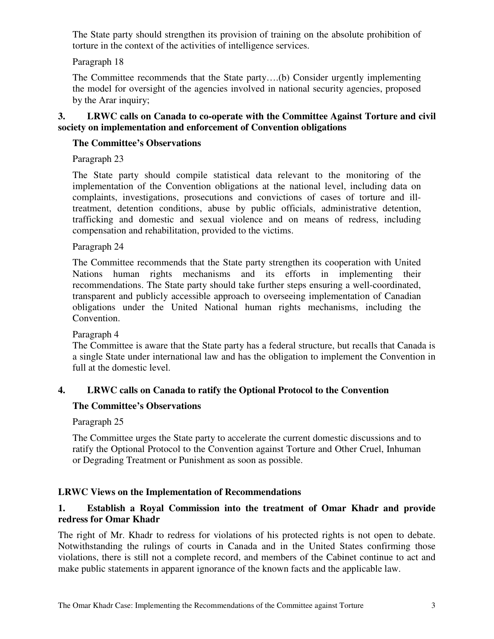The State party should strengthen its provision of training on the absolute prohibition of torture in the context of the activities of intelligence services.

## Paragraph 18

The Committee recommends that the State party….(b) Consider urgently implementing the model for oversight of the agencies involved in national security agencies, proposed by the Arar inquiry;

# **3. LRWC calls on Canada to co-operate with the Committee Against Torture and civil society on implementation and enforcement of Convention obligations**

## **The Committee's Observations**

Paragraph 23

The State party should compile statistical data relevant to the monitoring of the implementation of the Convention obligations at the national level, including data on complaints, investigations, prosecutions and convictions of cases of torture and illtreatment, detention conditions, abuse by public officials, administrative detention, trafficking and domestic and sexual violence and on means of redress, including compensation and rehabilitation, provided to the victims.

#### Paragraph 24

The Committee recommends that the State party strengthen its cooperation with United Nations human rights mechanisms and its efforts in implementing their recommendations. The State party should take further steps ensuring a well-coordinated, transparent and publicly accessible approach to overseeing implementation of Canadian obligations under the United National human rights mechanisms, including the Convention.

#### Paragraph 4

The Committee is aware that the State party has a federal structure, but recalls that Canada is a single State under international law and has the obligation to implement the Convention in full at the domestic level.

## **4. LRWC calls on Canada to ratify the Optional Protocol to the Convention**

## **The Committee's Observations**

Paragraph 25

The Committee urges the State party to accelerate the current domestic discussions and to ratify the Optional Protocol to the Convention against Torture and Other Cruel, Inhuman or Degrading Treatment or Punishment as soon as possible.

## **LRWC Views on the Implementation of Recommendations**

# **1. Establish a Royal Commission into the treatment of Omar Khadr and provide redress for Omar Khadr**

The right of Mr. Khadr to redress for violations of his protected rights is not open to debate. Notwithstanding the rulings of courts in Canada and in the United States confirming those violations, there is still not a complete record, and members of the Cabinet continue to act and make public statements in apparent ignorance of the known facts and the applicable law.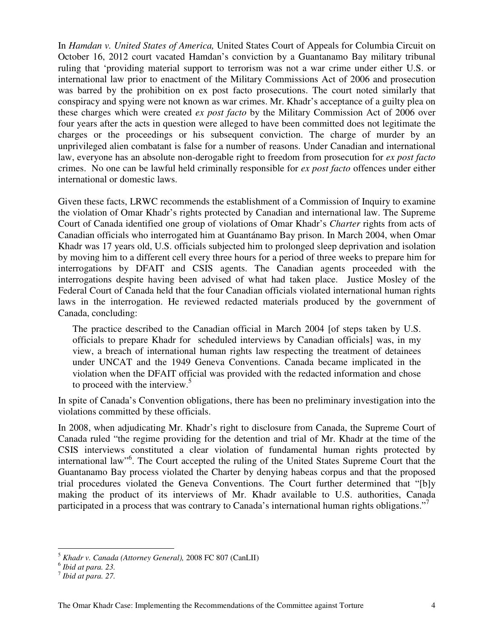In *Hamdan v. United States of America,* United States Court of Appeals for Columbia Circuit on October 16, 2012 court vacated Hamdan's conviction by a Guantanamo Bay military tribunal ruling that 'providing material support to terrorism was not a war crime under either U.S. or international law prior to enactment of the Military Commissions Act of 2006 and prosecution was barred by the prohibition on ex post facto prosecutions. The court noted similarly that conspiracy and spying were not known as war crimes. Mr. Khadr's acceptance of a guilty plea on these charges which were created *ex post facto* by the Military Commission Act of 2006 over four years after the acts in question were alleged to have been committed does not legitimate the charges or the proceedings or his subsequent conviction. The charge of murder by an unprivileged alien combatant is false for a number of reasons. Under Canadian and international law, everyone has an absolute non-derogable right to freedom from prosecution for *ex post facto*  crimes. No one can be lawful held criminally responsible for *ex post facto* offences under either international or domestic laws.

Given these facts, LRWC recommends the establishment of a Commission of Inquiry to examine the violation of Omar Khadr's rights protected by Canadian and international law. The Supreme Court of Canada identified one group of violations of Omar Khadr's *Charter* rights from acts of Canadian officials who interrogated him at Guantánamo Bay prison. In March 2004, when Omar Khadr was 17 years old, U.S. officials subjected him to prolonged sleep deprivation and isolation by moving him to a different cell every three hours for a period of three weeks to prepare him for interrogations by DFAIT and CSIS agents. The Canadian agents proceeded with the interrogations despite having been advised of what had taken place. Justice Mosley of the Federal Court of Canada held that the four Canadian officials violated international human rights laws in the interrogation. He reviewed redacted materials produced by the government of Canada, concluding:

The practice described to the Canadian official in March 2004 [of steps taken by U.S. officials to prepare Khadr for scheduled interviews by Canadian officials] was, in my view, a breach of international human rights law respecting the treatment of detainees under UNCAT and the 1949 Geneva Conventions. Canada became implicated in the violation when the DFAIT official was provided with the redacted information and chose to proceed with the interview. $5$ 

In spite of Canada's Convention obligations, there has been no preliminary investigation into the violations committed by these officials.

In 2008, when adjudicating Mr. Khadr's right to disclosure from Canada, the Supreme Court of Canada ruled "the regime providing for the detention and trial of Mr. Khadr at the time of the CSIS interviews constituted a clear violation of fundamental human rights protected by international law"<sup>6</sup> . The Court accepted the ruling of the United States Supreme Court that the Guantanamo Bay process violated the Charter by denying habeas corpus and that the proposed trial procedures violated the Geneva Conventions. The Court further determined that "[b]y making the product of its interviews of Mr. Khadr available to U.S. authorities, Canada participated in a process that was contrary to Canada's international human rights obligations."<sup>7</sup>

 $\overline{a}$ <sup>5</sup> *Khadr v. Canada (Attorney General),* 2008 FC 807 (CanLII) 6 *Ibid at para. 23.* 

<sup>7</sup> *Ibid at para. 27.*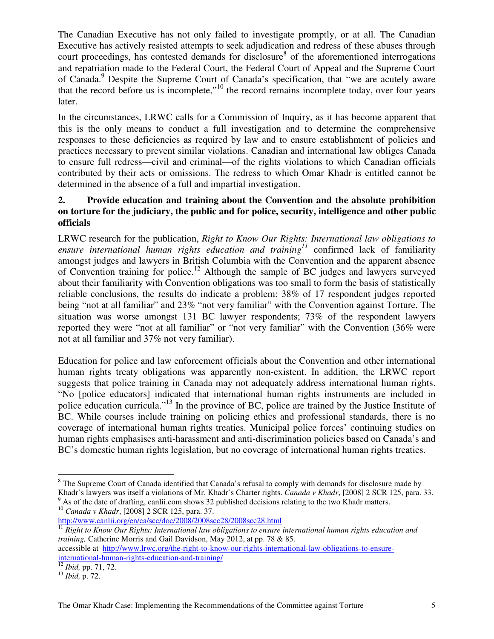The Canadian Executive has not only failed to investigate promptly, or at all. The Canadian Executive has actively resisted attempts to seek adjudication and redress of these abuses through court proceedings, has contested demands for disclosure<sup>8</sup> of the aforementioned interrogations and repatriation made to the Federal Court, the Federal Court of Appeal and the Supreme Court of Canada.<sup>9</sup> Despite the Supreme Court of Canada's specification, that "we are acutely aware that the record before us is incomplete,"<sup>10</sup> the record remains incomplete today, over four years later.

In the circumstances, LRWC calls for a Commission of Inquiry, as it has become apparent that this is the only means to conduct a full investigation and to determine the comprehensive responses to these deficiencies as required by law and to ensure establishment of policies and practices necessary to prevent similar violations. Canadian and international law obliges Canada to ensure full redress—civil and criminal—of the rights violations to which Canadian officials contributed by their acts or omissions. The redress to which Omar Khadr is entitled cannot be determined in the absence of a full and impartial investigation.

## **2. Provide education and training about the Convention and the absolute prohibition on torture for the judiciary, the public and for police, security, intelligence and other public officials**

LRWC research for the publication, *Right to Know Our Rights: International law obligations to ensure international human rights education and training<sup>11</sup>* confirmed lack of familiarity amongst judges and lawyers in British Columbia with the Convention and the apparent absence of Convention training for police.<sup>12</sup> Although the sample of BC judges and lawyers surveyed about their familiarity with Convention obligations was too small to form the basis of statistically reliable conclusions, the results do indicate a problem: 38% of 17 respondent judges reported being "not at all familiar" and 23% "not very familiar" with the Convention against Torture. The situation was worse amongst 131 BC lawyer respondents; 73% of the respondent lawyers reported they were "not at all familiar" or "not very familiar" with the Convention (36% were not at all familiar and 37% not very familiar).

Education for police and law enforcement officials about the Convention and other international human rights treaty obligations was apparently non-existent. In addition, the LRWC report suggests that police training in Canada may not adequately address international human rights. "No [police educators] indicated that international human rights instruments are included in police education curricula."<sup>13</sup> In the province of BC, police are trained by the Justice Institute of BC. While courses include training on policing ethics and professional standards, there is no coverage of international human rights treaties. Municipal police forces' continuing studies on human rights emphasises anti-harassment and anti-discrimination policies based on Canada's and BC's domestic human rights legislation, but no coverage of international human rights treaties.

<sup>10</sup> *Canada v Khadr*, [2008] 2 SCR 125, para. 37.

accessible at http://www.lrwc.org/the-right-to-know-our-rights-international-law-obligations-to-ensureinternational-human-rights-education-and-training/

 $\overline{a}$ <sup>8</sup> The Supreme Court of Canada identified that Canada's refusal to comply with demands for disclosure made by Khadr's lawyers was itself a violations of Mr. Khadr's Charter rights. *Canada v Khadr*, [2008] 2 SCR 125, para. 33.  $9$  As of the date of drafting, canlii.com shows 32 published decisions relating to the two Khadr matters.

http://www.canlii.org/en/ca/scc/doc/2008/2008scc28/2008scc28.html <sup>11</sup> Right to Know Our Rights: International law obligations to ensure international human rights education and *training,* Catherine Morris and Gail Davidson, May 2012, at pp. 78 & 85.

<sup>12</sup> *Ibid,* pp. 71, 72.

<sup>13</sup> *Ibid,* p. 72.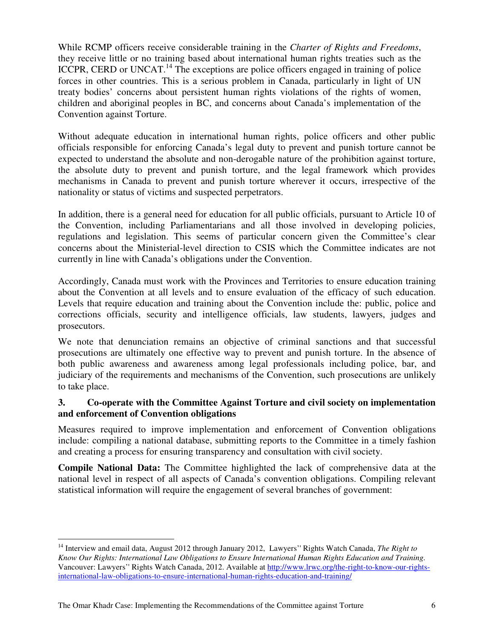While RCMP officers receive considerable training in the *Charter of Rights and Freedoms*, they receive little or no training based about international human rights treaties such as the ICCPR, CERD or UNCAT.<sup>14</sup> The exceptions are police officers engaged in training of police forces in other countries. This is a serious problem in Canada, particularly in light of UN treaty bodies' concerns about persistent human rights violations of the rights of women, children and aboriginal peoples in BC, and concerns about Canada's implementation of the Convention against Torture.

Without adequate education in international human rights, police officers and other public officials responsible for enforcing Canada's legal duty to prevent and punish torture cannot be expected to understand the absolute and non-derogable nature of the prohibition against torture, the absolute duty to prevent and punish torture, and the legal framework which provides mechanisms in Canada to prevent and punish torture wherever it occurs, irrespective of the nationality or status of victims and suspected perpetrators.

In addition, there is a general need for education for all public officials, pursuant to Article 10 of the Convention, including Parliamentarians and all those involved in developing policies, regulations and legislation. This seems of particular concern given the Committee's clear concerns about the Ministerial-level direction to CSIS which the Committee indicates are not currently in line with Canada's obligations under the Convention.

Accordingly, Canada must work with the Provinces and Territories to ensure education training about the Convention at all levels and to ensure evaluation of the efficacy of such education. Levels that require education and training about the Convention include the: public, police and corrections officials, security and intelligence officials, law students, lawyers, judges and prosecutors.

We note that denunciation remains an objective of criminal sanctions and that successful prosecutions are ultimately one effective way to prevent and punish torture. In the absence of both public awareness and awareness among legal professionals including police, bar, and judiciary of the requirements and mechanisms of the Convention, such prosecutions are unlikely to take place.

# **3. Co-operate with the Committee Against Torture and civil society on implementation and enforcement of Convention obligations**

Measures required to improve implementation and enforcement of Convention obligations include: compiling a national database, submitting reports to the Committee in a timely fashion and creating a process for ensuring transparency and consultation with civil society.

**Compile National Data:** The Committee highlighted the lack of comprehensive data at the national level in respect of all aspects of Canada's convention obligations. Compiling relevant statistical information will require the engagement of several branches of government:

 $\overline{a}$ 

<sup>14</sup> Interview and email data, August 2012 through January 2012, Lawyers'' Rights Watch Canada, *The Right to Know Our Rights: International Law Obligations to Ensure International Human Rights Education and Training.* Vancouver: Lawyers'' Rights Watch Canada, 2012. Available at http://www.lrwc.org/the-right-to-know-our-rightsinternational-law-obligations-to-ensure-international-human-rights-education-and-training/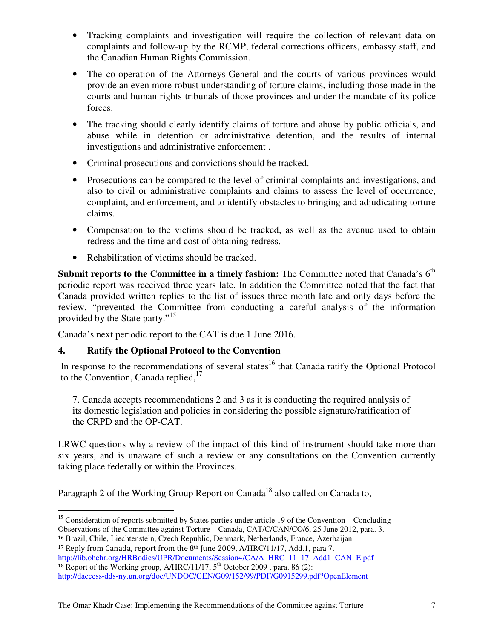- Tracking complaints and investigation will require the collection of relevant data on complaints and follow-up by the RCMP, federal corrections officers, embassy staff, and the Canadian Human Rights Commission.
- The co-operation of the Attorneys-General and the courts of various provinces would provide an even more robust understanding of torture claims, including those made in the courts and human rights tribunals of those provinces and under the mandate of its police forces.
- The tracking should clearly identify claims of torture and abuse by public officials, and abuse while in detention or administrative detention, and the results of internal investigations and administrative enforcement .
- Criminal prosecutions and convictions should be tracked.
- Prosecutions can be compared to the level of criminal complaints and investigations, and also to civil or administrative complaints and claims to assess the level of occurrence, complaint, and enforcement, and to identify obstacles to bringing and adjudicating torture claims.
- Compensation to the victims should be tracked, as well as the avenue used to obtain redress and the time and cost of obtaining redress.
- Rehabilitation of victims should be tracked.

**Submit reports to the Committee in a timely fashion:** The Committee noted that Canada's 6<sup>th</sup> periodic report was received three years late. In addition the Committee noted that the fact that Canada provided written replies to the list of issues three month late and only days before the review, "prevented the Committee from conducting a careful analysis of the information provided by the State party."<sup>15</sup>

Canada's next periodic report to the CAT is due 1 June 2016.

# **4. Ratify the Optional Protocol to the Convention**

In response to the recommendations of several states<sup>16</sup> that Canada ratify the Optional Protocol to the Convention, Canada replied, $^{17}$ 

7. Canada accepts recommendations 2 and 3 as it is conducting the required analysis of its domestic legislation and policies in considering the possible signature/ratification of the CRPD and the OP-CAT.

LRWC questions why a review of the impact of this kind of instrument should take more than six years, and is unaware of such a review or any consultations on the Convention currently taking place federally or within the Provinces.

Paragraph 2 of the Working Group Report on Canada<sup>18</sup> also called on Canada to,

http://lib.ohchr.org/HRBodies/UPR/Documents/Session4/CA/A\_HRC\_11\_17\_Add1\_CAN\_E.pdf <sup>18</sup> Report of the Working group, A/HRC/11/17,  $5<sup>th</sup>$  October 2009, para. 86 (2): http://daccess-dds-ny.un.org/doc/UNDOC/GEN/G09/152/99/PDF/G0915299.pdf?OpenElement

 $\overline{a}$ <sup>15</sup> Consideration of reports submitted by States parties under article 19 of the Convention – Concluding Observations of the Committee against Torture – Canada, CAT/C/CAN/CO/6, 25 June 2012, para. 3.

<sup>16</sup> Brazil, Chile, Liechtenstein, Czech Republic, Denmark, Netherlands, France, Azerbaijan. <sup>17</sup> Reply from Canada, report from the 8<sup>th</sup> June 2009, A/HRC/11/17, Add.1, para 7.